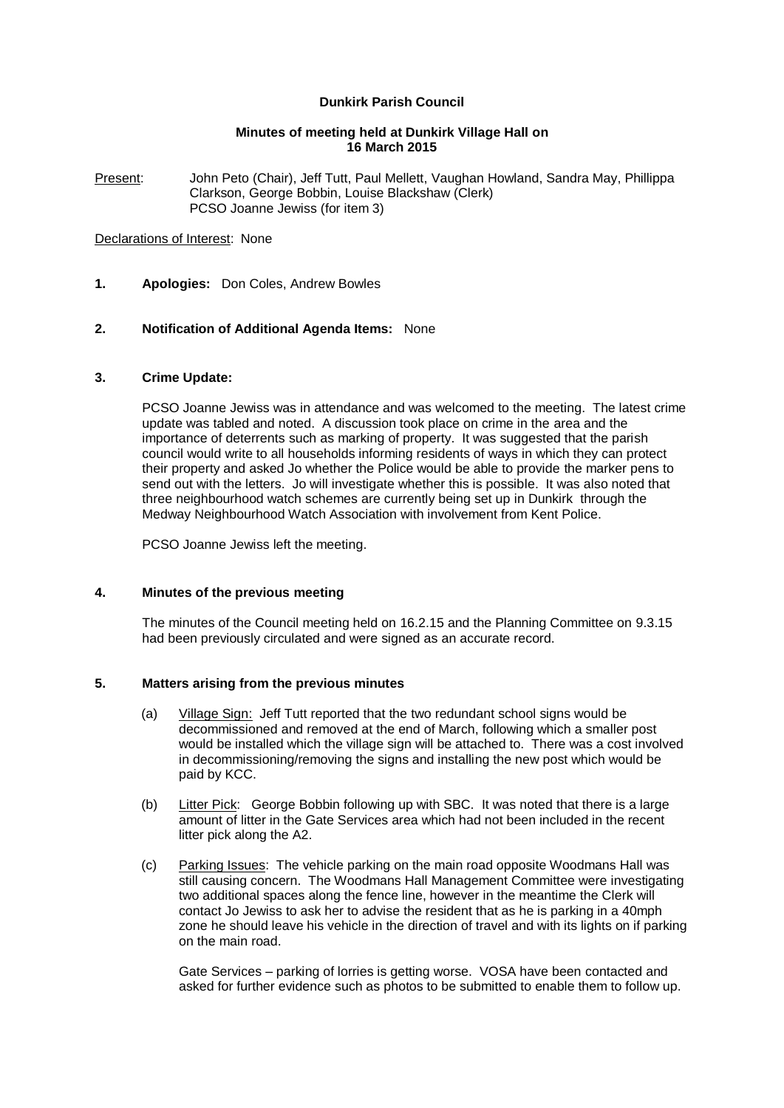## **Dunkirk Parish Council**

### **Minutes of meeting held at Dunkirk Village Hall on 16 March 2015**

Present: John Peto (Chair), Jeff Tutt, Paul Mellett, Vaughan Howland, Sandra May, Phillippa Clarkson, George Bobbin, Louise Blackshaw (Clerk) PCSO Joanne Jewiss (for item 3)

#### Declarations of Interest: None

**1. Apologies:** Don Coles, Andrew Bowles

### **2. Notification of Additional Agenda Items:** None

#### **3. Crime Update:**

PCSO Joanne Jewiss was in attendance and was welcomed to the meeting. The latest crime update was tabled and noted. A discussion took place on crime in the area and the importance of deterrents such as marking of property. It was suggested that the parish council would write to all households informing residents of ways in which they can protect their property and asked Jo whether the Police would be able to provide the marker pens to send out with the letters. Jo will investigate whether this is possible. It was also noted that three neighbourhood watch schemes are currently being set up in Dunkirk through the Medway Neighbourhood Watch Association with involvement from Kent Police.

PCSO Joanne Jewiss left the meeting.

### **4. Minutes of the previous meeting**

The minutes of the Council meeting held on 16.2.15 and the Planning Committee on 9.3.15 had been previously circulated and were signed as an accurate record.

### **5. Matters arising from the previous minutes**

- (a) Village Sign: Jeff Tutt reported that the two redundant school signs would be decommissioned and removed at the end of March, following which a smaller post would be installed which the village sign will be attached to. There was a cost involved in decommissioning/removing the signs and installing the new post which would be paid by KCC.
- (b) Litter Pick: George Bobbin following up with SBC. It was noted that there is a large amount of litter in the Gate Services area which had not been included in the recent litter pick along the A2.
- (c) Parking Issues: The vehicle parking on the main road opposite Woodmans Hall was still causing concern. The Woodmans Hall Management Committee were investigating two additional spaces along the fence line, however in the meantime the Clerk will contact Jo Jewiss to ask her to advise the resident that as he is parking in a 40mph zone he should leave his vehicle in the direction of travel and with its lights on if parking on the main road.

Gate Services – parking of lorries is getting worse. VOSA have been contacted and asked for further evidence such as photos to be submitted to enable them to follow up.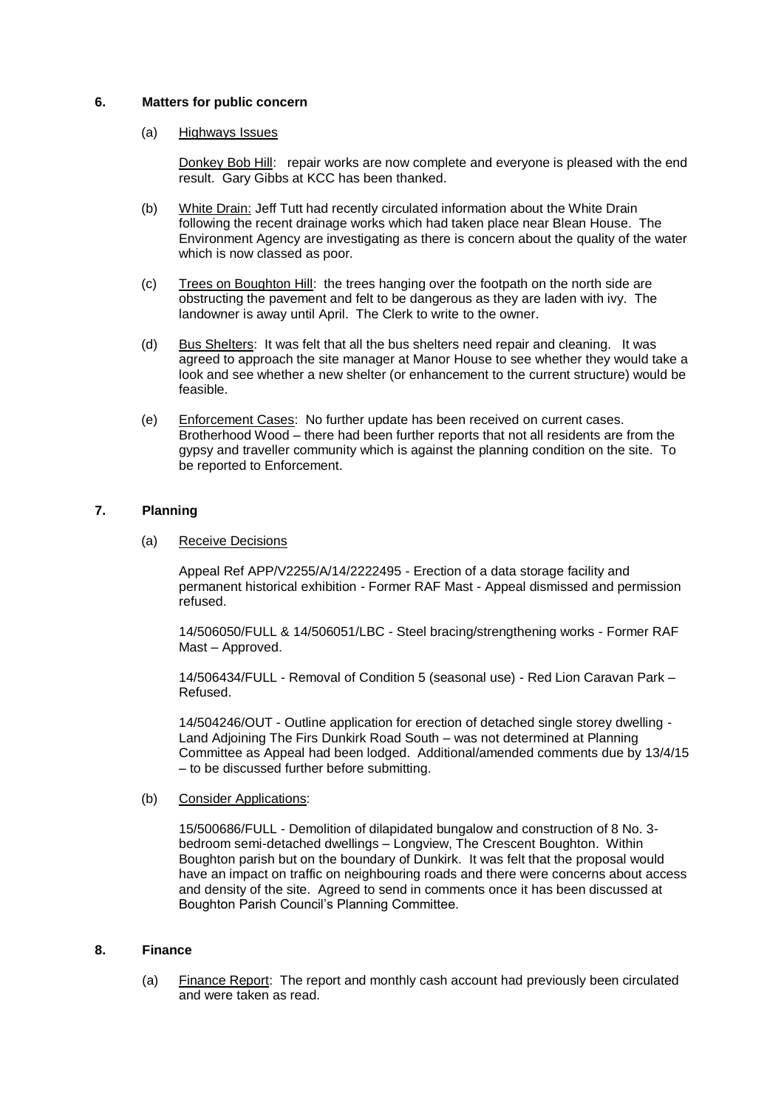### **6. Matters for public concern**

### (a) Highways Issues

Donkey Bob Hill: repair works are now complete and everyone is pleased with the end result. Gary Gibbs at KCC has been thanked.

- (b) White Drain: Jeff Tutt had recently circulated information about the White Drain following the recent drainage works which had taken place near Blean House. The Environment Agency are investigating as there is concern about the quality of the water which is now classed as poor.
- (c) Trees on Boughton Hill: the trees hanging over the footpath on the north side are obstructing the pavement and felt to be dangerous as they are laden with ivy. The landowner is away until April. The Clerk to write to the owner.
- (d) Bus Shelters: It was felt that all the bus shelters need repair and cleaning. It was agreed to approach the site manager at Manor House to see whether they would take a look and see whether a new shelter (or enhancement to the current structure) would be feasible.
- (e) Enforcement Cases: No further update has been received on current cases. Brotherhood Wood – there had been further reports that not all residents are from the gypsy and traveller community which is against the planning condition on the site. To be reported to Enforcement.

### **7. Planning**

### (a) Receive Decisions

Appeal Ref APP/V2255/A/14/2222495 - Erection of a data storage facility and permanent historical exhibition - Former RAF Mast - Appeal dismissed and permission refused.

14/506050/FULL & 14/506051/LBC - Steel bracing/strengthening works - Former RAF Mast – Approved.

14/506434/FULL - Removal of Condition 5 (seasonal use) - Red Lion Caravan Park – Refused.

14/504246/OUT - Outline application for erection of detached single storey dwelling - Land Adjoining The Firs Dunkirk Road South – was not determined at Planning Committee as Appeal had been lodged. Additional/amended comments due by 13/4/15 – to be discussed further before submitting.

### (b) Consider Applications:

15/500686/FULL - Demolition of dilapidated bungalow and construction of 8 No. 3 bedroom semi-detached dwellings – Longview, The Crescent Boughton. Within Boughton parish but on the boundary of Dunkirk. It was felt that the proposal would have an impact on traffic on neighbouring roads and there were concerns about access and density of the site. Agreed to send in comments once it has been discussed at Boughton Parish Council's Planning Committee.

### **8. Finance**

(a) Finance Report: The report and monthly cash account had previously been circulated and were taken as read.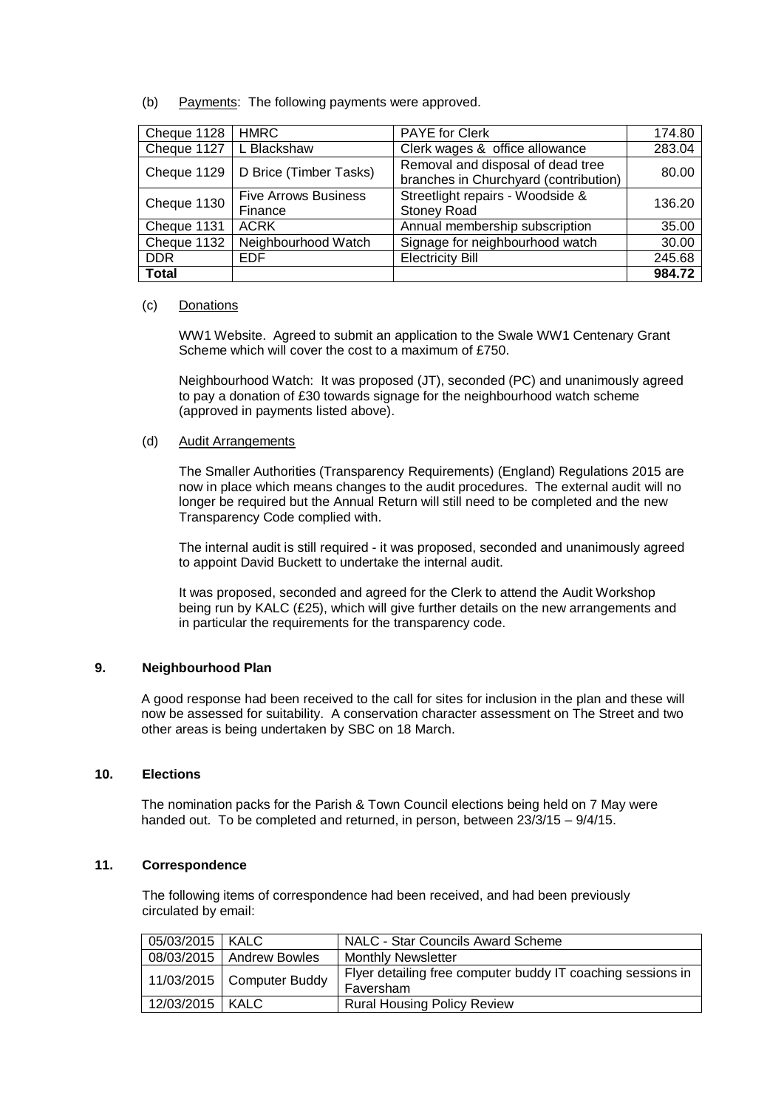(b) Payments: The following payments were approved.

| Cheque 1128  | <b>HMRC</b>                            | <b>PAYE</b> for Clerk                                                      | 174.80 |
|--------------|----------------------------------------|----------------------------------------------------------------------------|--------|
| Cheque 1127  | L Blackshaw                            | Clerk wages & office allowance                                             | 283.04 |
|              | Cheque 1129   D Brice (Timber Tasks)   | Removal and disposal of dead tree<br>branches in Churchyard (contribution) | 80.00  |
| Cheque 1130  | <b>Five Arrows Business</b><br>Finance | Streetlight repairs - Woodside &<br><b>Stoney Road</b>                     | 136.20 |
| Cheque 1131  | <b>ACRK</b>                            | Annual membership subscription                                             | 35.00  |
| Cheque 1132  | Neighbourhood Watch                    | Signage for neighbourhood watch                                            | 30.00  |
| <b>DDR</b>   | <b>EDF</b>                             | <b>Electricity Bill</b>                                                    | 245.68 |
| <b>Total</b> |                                        |                                                                            | 984.72 |

### (c) Donations

WW1 Website. Agreed to submit an application to the Swale WW1 Centenary Grant Scheme which will cover the cost to a maximum of £750.

Neighbourhood Watch: It was proposed (JT), seconded (PC) and unanimously agreed to pay a donation of £30 towards signage for the neighbourhood watch scheme (approved in payments listed above).

### (d) Audit Arrangements

The Smaller Authorities (Transparency Requirements) (England) Regulations 2015 are now in place which means changes to the audit procedures. The external audit will no longer be required but the Annual Return will still need to be completed and the new Transparency Code complied with.

The internal audit is still required - it was proposed, seconded and unanimously agreed to appoint David Buckett to undertake the internal audit.

It was proposed, seconded and agreed for the Clerk to attend the Audit Workshop being run by KALC (£25), which will give further details on the new arrangements and in particular the requirements for the transparency code.

### **9. Neighbourhood Plan**

A good response had been received to the call for sites for inclusion in the plan and these will now be assessed for suitability. A conservation character assessment on The Street and two other areas is being undertaken by SBC on 18 March.

### **10. Elections**

The nomination packs for the Parish & Town Council elections being held on 7 May were handed out. To be completed and returned, in person, between 23/3/15 – 9/4/15.

### **11. Correspondence**

The following items of correspondence had been received, and had been previously circulated by email:

| 05/03/2015   KALC |                             | NALC - Star Councils Award Scheme                                        |
|-------------------|-----------------------------|--------------------------------------------------------------------------|
|                   | 08/03/2015   Andrew Bowles  | <b>Monthly Newsletter</b>                                                |
|                   | $11/03/2015$ Computer Buddy | Flyer detailing free computer buddy IT coaching sessions in<br>Faversham |
| 12/03/2015   KALC |                             | <b>Rural Housing Policy Review</b>                                       |